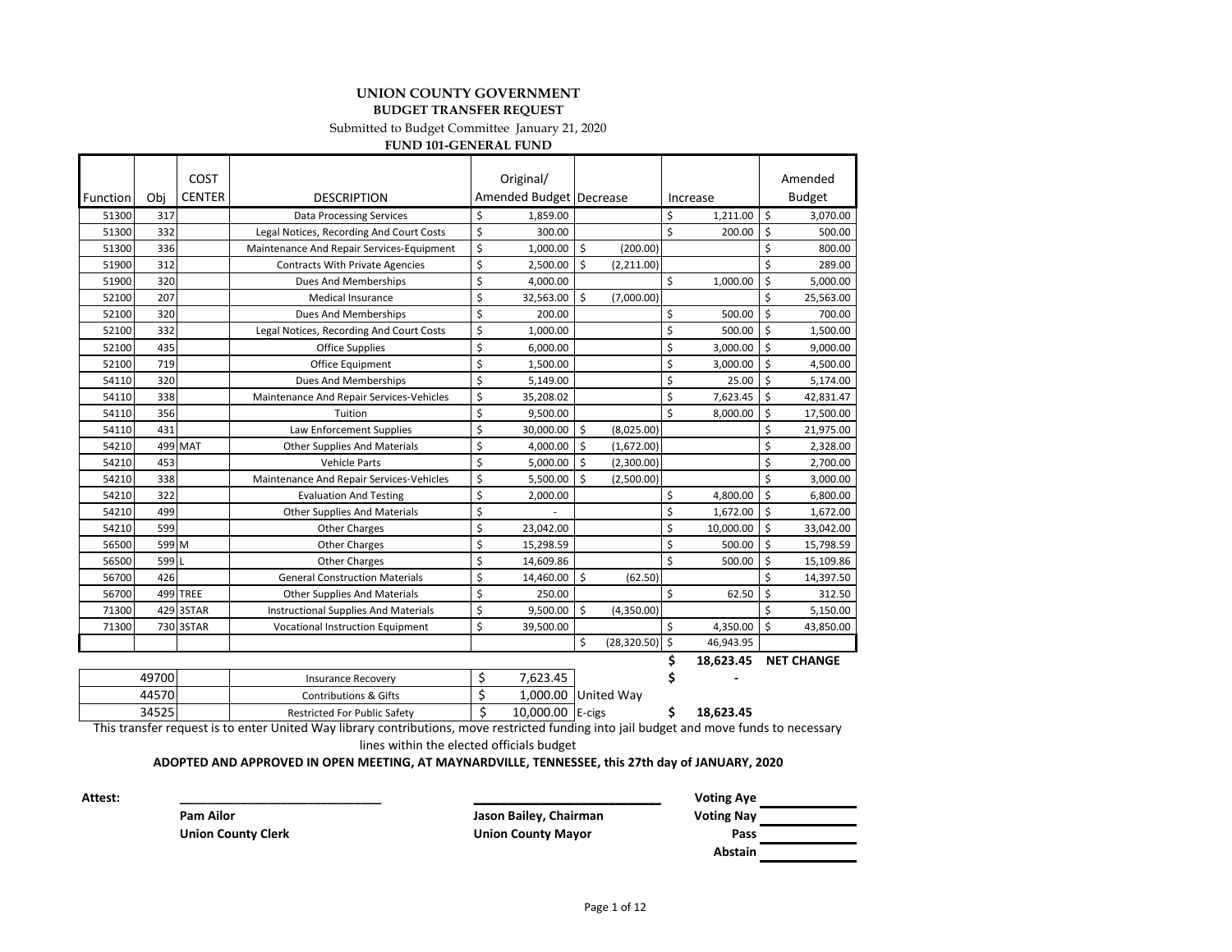#### **UNION COUNTY GOVERNMENT BUDGET TRANSFER REQUEST**

Submitted to Budget Committee January 21, 2020

**FUND 101-GENERAL FUND**

|          |       | COST            |                                             |         | Original/               |                           |              |    |           |    | Amended           |
|----------|-------|-----------------|---------------------------------------------|---------|-------------------------|---------------------------|--------------|----|-----------|----|-------------------|
| Function | Obi   | <b>CENTER</b>   | <b>DESCRIPTION</b>                          |         | Amended Budget Decrease |                           |              |    | Increase  |    | <b>Budget</b>     |
| 51300    | 317   |                 | <b>Data Processing Services</b>             | \$      | 1,859.00                |                           |              | \$ | 1,211.00  | \$ | 3,070.00          |
| 51300    | 332   |                 | Legal Notices, Recording And Court Costs    | \$      | 300.00                  |                           |              | \$ | 200.00    | \$ | 500.00            |
| 51300    | 336   |                 | Maintenance And Repair Services-Equipment   | \$      | 1,000.00                | \$                        | (200.00)     |    |           | \$ | 800.00            |
| 51900    | 312   |                 | <b>Contracts With Private Agencies</b>      | \$      | 2,500.00                | Ŝ.                        | (2,211.00)   |    |           | \$ | 289.00            |
| 51900    | 320   |                 | Dues And Memberships                        | \$      | 4,000.00                |                           |              | \$ | 1,000.00  | \$ | 5,000.00          |
| 52100    | 207   |                 | <b>Medical Insurance</b>                    | \$      | 32,563.00               | $\boldsymbol{\mathsf{S}}$ | (7,000.00)   |    |           | \$ | 25,563.00         |
| 52100    | 320   |                 | Dues And Memberships                        | \$      | 200.00                  |                           |              | \$ | 500.00    | \$ | 700.00            |
| 52100    | 332   |                 | Legal Notices, Recording And Court Costs    | \$      | 1,000.00                |                           |              | \$ | 500.00    | \$ | 1,500.00          |
| 52100    | 435   |                 | <b>Office Supplies</b>                      | \$      | 6,000.00                |                           |              | \$ | 3,000.00  | \$ | 9,000.00          |
| 52100    | 719   |                 | Office Equipment                            | \$      | 1,500.00                |                           |              | \$ | 3,000.00  | \$ | 4,500.00          |
| 54110    | 320   |                 | Dues And Memberships                        | $\zeta$ | 5,149.00                |                           |              | \$ | 25.00     | \$ | 5,174.00          |
| 54110    | 338   |                 | Maintenance And Repair Services-Vehicles    | \$      | 35,208.02               |                           |              | \$ | 7,623.45  | \$ | 42,831.47         |
| 54110    | 356   |                 | Tuition                                     | \$      | 9,500.00                |                           |              | Ś  | 8,000.00  | Ś  | 17,500.00         |
| 54110    | 431   |                 | Law Enforcement Supplies                    | \$      | 30,000.00               | Ś                         | (8,025.00)   |    |           | \$ | 21,975.00         |
| 54210    |       | 499 MAT         | <b>Other Supplies And Materials</b>         | \$      | 4,000.00                | Ś                         | (1,672.00)   |    |           | \$ | 2.328.00          |
| 54210    | 453   |                 | <b>Vehicle Parts</b>                        | \$      | 5,000.00                | Ś                         | (2,300.00)   |    |           | \$ | 2.700.00          |
| 54210    | 338   |                 | Maintenance And Repair Services-Vehicles    | \$      | 5,500.00                | Ś                         | (2,500.00)   |    |           | \$ | 3,000.00          |
| 54210    | 322   |                 | <b>Evaluation And Testing</b>               | \$      | 2,000.00                |                           |              | \$ | 4,800.00  | \$ | 6,800.00          |
| 54210    | 499   |                 | <b>Other Supplies And Materials</b>         | \$      |                         |                           |              | \$ | 1,672.00  | \$ | 1,672.00          |
| 54210    | 599   |                 | <b>Other Charges</b>                        | \$      | 23,042.00               |                           |              | \$ | 10,000.00 | \$ | 33,042.00         |
| 56500    | 599 M |                 | <b>Other Charges</b>                        | \$      | 15,298.59               |                           |              | \$ | 500.00    | \$ | 15,798.59         |
| 56500    | 599 L |                 | <b>Other Charges</b>                        | \$      | 14,609.86               |                           |              | \$ | 500.00    | \$ | 15,109.86         |
| 56700    | 426   |                 | <b>General Construction Materials</b>       | \$      | 14,460.00               | \$                        | (62.50)      |    |           | Ś  | 14,397.50         |
| 56700    |       | <b>499 TREE</b> | <b>Other Supplies And Materials</b>         | \$      | 250.00                  |                           |              | \$ | 62.50     | \$ | 312.50            |
| 71300    |       | 429 3STAR       | <b>Instructional Supplies And Materials</b> | \$      | 9,500.00                | Ś                         | (4,350.00)   |    |           | Ś  | 5,150.00          |
| 71300    |       | 730 3STAR       | Vocational Instruction Equipment            | \$      | 39,500.00               |                           |              | \$ | 4,350.00  | \$ | 43,850.00         |
|          |       |                 |                                             |         |                         | \$                        | (28, 320.50) | \$ | 46,943.95 |    |                   |
|          |       |                 |                                             |         |                         |                           |              | \$ | 18.623.45 |    | <b>NET CHANGE</b> |

| 49700 | Insurance Recovery                  | 7.623.45         |                     |           |
|-------|-------------------------------------|------------------|---------------------|-----------|
| 44570 | Contributions & Gifts               |                  | 1.000.00 United Way |           |
| 34525 | <b>Restricted For Public Safety</b> | 10,000.00 E-cigs |                     | 18.623.45 |

This transfer request is to enter United Way library contributions, move restricted funding into jail budget and move funds to necessary lines within the elected officials budget

**ADOPTED AND APPROVED IN OPEN MEETING, AT MAYNARDVILLE, TENNESSEE, this 27th day of JANUARY, 2020**

**Attest: \_\_\_\_\_\_\_\_\_\_\_\_\_\_\_\_\_\_\_\_\_\_\_\_\_\_\_\_\_\_ \_\_\_\_\_\_\_\_\_\_\_\_\_\_\_\_\_\_\_\_\_\_\_\_\_\_\_\_\_\_ Voting Aye**

**Pam Ailor Jason Bailey, Chairman Voting Nay Abstain**

**Union County Clerk Union County Mayor Pass**

Page 1 of 12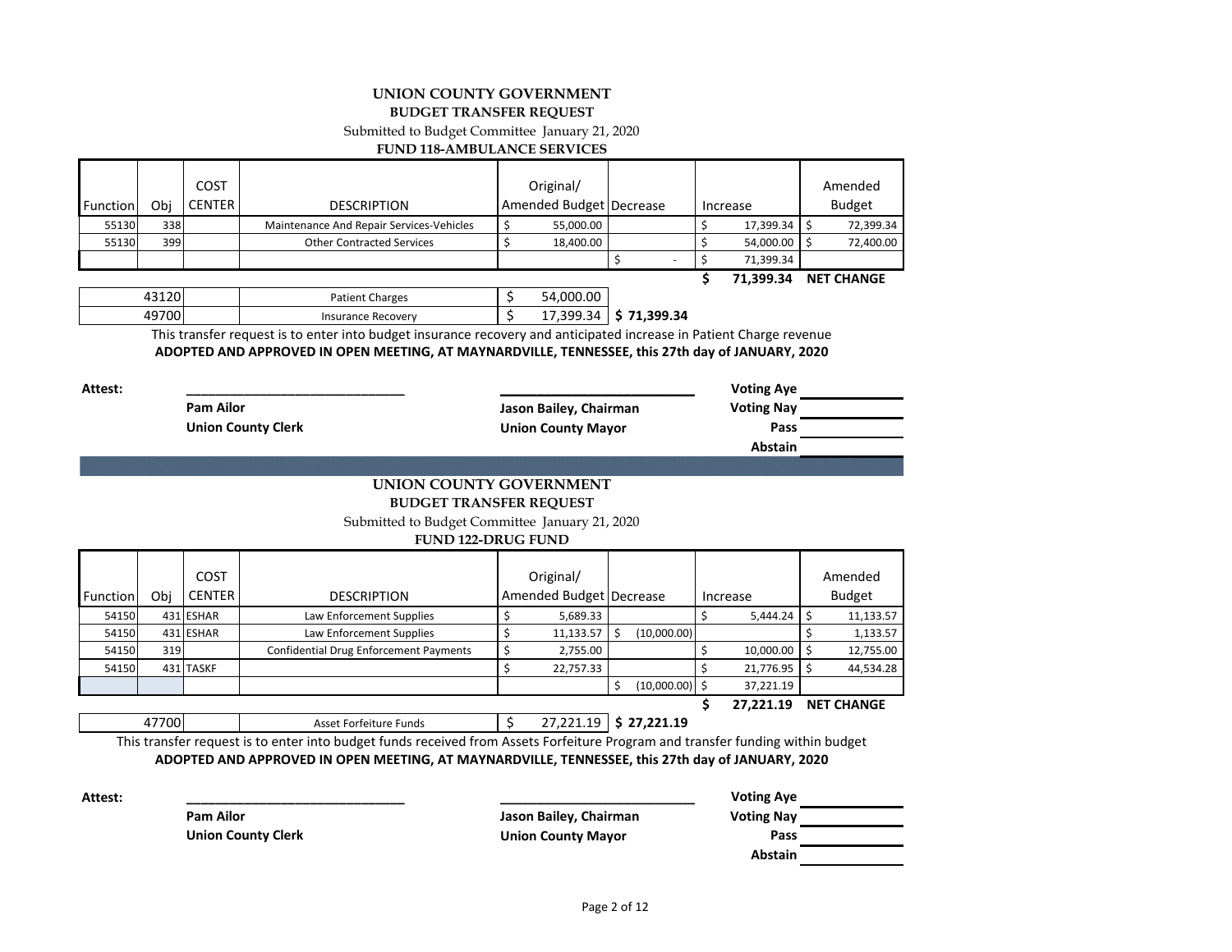#### **UNION COUNTY GOVERNMENT BUDGET TRANSFER REQUEST**

Submitted to Budget Committee January 21, 2020

**FUND 118-AMBULANCE SERVICES**

|                 |     |               |                                          |                           |  | 71.399.34    | <b>NET CHANGE</b> |
|-----------------|-----|---------------|------------------------------------------|---------------------------|--|--------------|-------------------|
|                 |     |               |                                          |                           |  | 71,399.34    |                   |
| 55130           | 399 |               | <b>Other Contracted Services</b>         | 18,400.00                 |  | 54,000.00 \$ | 72,400.00         |
| 55130           | 338 |               | Maintenance And Repair Services-Vehicles | 55,000.00                 |  | 17,399.34 \$ | 72,399.34         |
| <b>Function</b> | Obi | <b>CENTER</b> | <b>DESCRIPTION</b>                       | Amended Budget   Decrease |  | Increase     | <b>Budget</b>     |
|                 |     | <b>COST</b>   |                                          | Original/                 |  |              | Amended           |

43120 | Patient Charges | \$ 54,000.00 49700 Insurance Recovery \$ 17,399.34 **\$ 71,399.34**

> This transfer request is to enter into budget insurance recovery and anticipated increase in Patient Charge revenue **ADOPTED AND APPROVED IN OPEN MEETING, AT MAYNARDVILLE, TENNESSEE, this 27th day of JANUARY, 2020**

| Attest: |                           |                                     | <b>Voting Aye</b> |  |
|---------|---------------------------|-------------------------------------|-------------------|--|
|         | <b>Pam Ailor</b>          | Jason Bailey, Chairman              | <b>Voting Nay</b> |  |
|         | <b>Union County Clerk</b> | <b>Union County Mayor</b>           | Pass              |  |
|         |                           |                                     | Abstain           |  |
|         |                           |                                     |                   |  |
|         |                           | <b>LINILON COLINITY COVEDNIMENT</b> |                   |  |

#### **BUDGET TRANSFER REQUEST UNION COUNTY GOVERNMENT**

Submitted to Budget Committee January 21, 2020

#### **FUND 122-DRUG FUND**

|          |     | COST          |                                               | Original/               |                  |           | Amended           |
|----------|-----|---------------|-----------------------------------------------|-------------------------|------------------|-----------|-------------------|
| Function | Obi | <b>CENTER</b> | <b>DESCRIPTION</b>                            | Amended Budget Decrease |                  | Increase  | <b>Budget</b>     |
| 54150    |     | 431 ESHAR     | Law Enforcement Supplies                      | 5,689.33                |                  | 5.444.24  | 11,133.57         |
| 54150    |     | 431 ESHAR     | Law Enforcement Supplies                      | 11,133.57               | (10,000.00)      |           | 1,133.57          |
| 54150    | 319 |               | <b>Confidential Drug Enforcement Payments</b> | 2,755.00                |                  | 10,000.00 | 12,755.00         |
| 54150    |     | 431 TASKF     |                                               | 22,757.33               |                  | 21,776.95 | 44,534.28         |
|          |     |               |                                               |                         | $(10,000.00)$ \$ | 37,221.19 |                   |
|          |     |               |                                               |                         |                  | 27.221.19 | <b>NET CHANGE</b> |

47700 Asset Forfeiture Funds **\$ 27,221.19 \$ 27,221.19** 

This transfer request is to enter into budget funds received from Assets Forfeiture Program and transfer funding within budget **ADOPTED AND APPROVED IN OPEN MEETING, AT MAYNARDVILLE, TENNESSEE, this 27th day of JANUARY, 2020**

**Pam Ailor Jason Bailey, Chairman Voting Nay Union County Clerk Union County Mayor Pass**

**Attest: \_\_\_\_\_\_\_\_\_\_\_\_\_\_\_\_\_\_\_\_\_\_\_\_\_\_\_\_\_\_ \_\_\_\_\_\_\_\_\_\_\_\_\_\_\_\_\_\_\_\_\_\_\_\_\_\_\_\_\_\_ Voting Aye Abstain**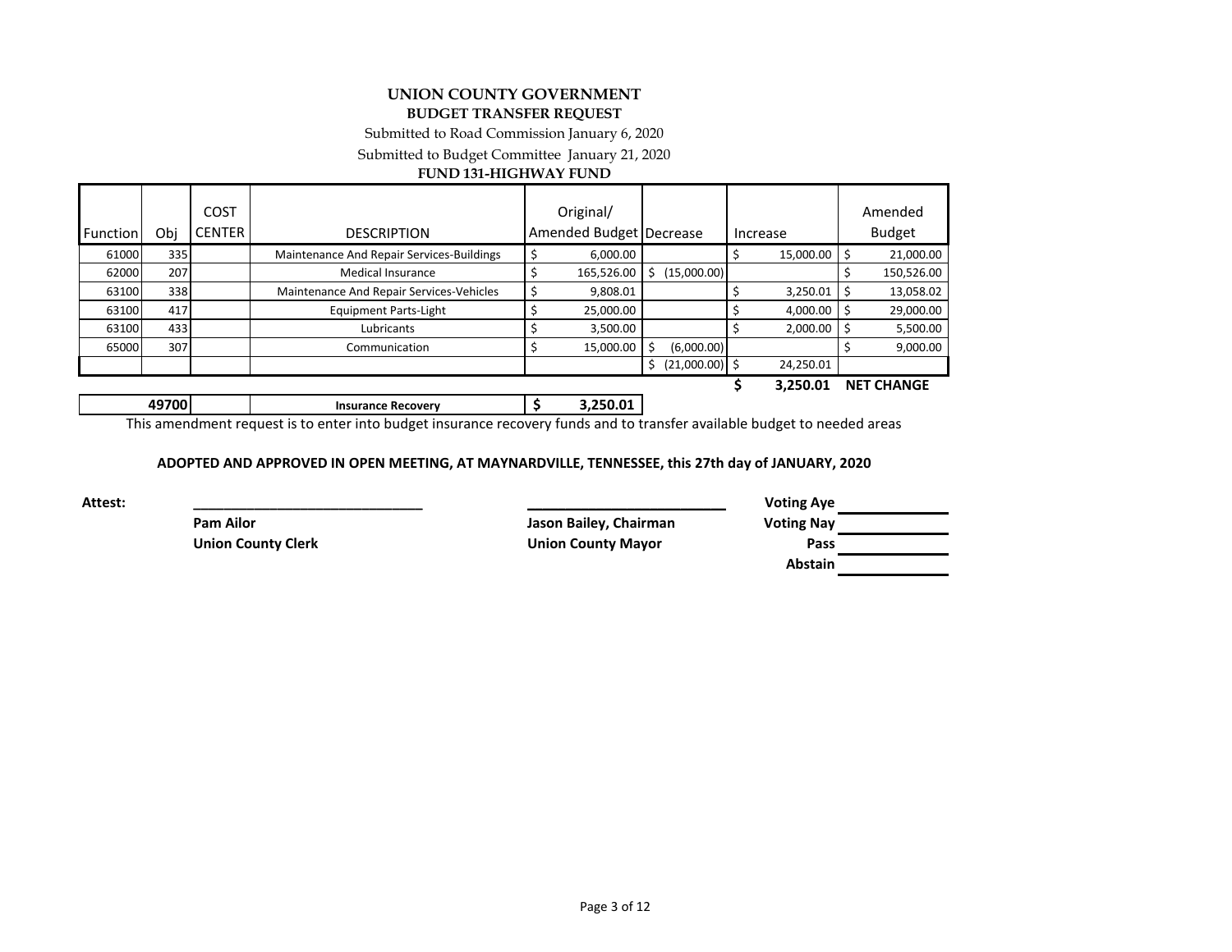#### **UNION COUNTY GOVERNMENT BUDGET TRANSFER REQUEST**

Submitted to Road Commission January 6, 2020

Submitted to Budget Committee January 21, 2020

#### **FUND 131-HIGHWAY FUND**

|          |       | COST          |                                           | Original/               |     |                  |           | Amended           |
|----------|-------|---------------|-------------------------------------------|-------------------------|-----|------------------|-----------|-------------------|
| Function | Obi   | <b>CENTER</b> | <b>DESCRIPTION</b>                        | Amended Budget Decrease |     |                  | Increase  | <b>Budget</b>     |
| 61000    | 335   |               | Maintenance And Repair Services-Buildings | 6,000.00                |     |                  | 15,000.00 | 21,000.00         |
| 62000    | 207   |               | <b>Medical Insurance</b>                  | 165,526.00              | S   | (15,000.00)      |           | 150,526.00        |
| 63100    | 338   |               | Maintenance And Repair Services-Vehicles  | 9,808.01                |     |                  | 3,250.01  | 13,058.02         |
| 63100    | 417   |               | <b>Equipment Parts-Light</b>              | 25,000.00               |     |                  | 4,000.00  | 29,000.00         |
| 63100    | 433   |               | Lubricants                                | 3,500.00                |     |                  | 2.000.00  | 5,500.00          |
| 65000    | 307   |               | Communication                             | 15,000.00               | -\$ | (6,000.00)       |           | 9,000.00          |
|          |       |               |                                           |                         | S   | $(21,000.00)$ \$ | 24,250.01 |                   |
|          |       |               |                                           |                         |     |                  | 3,250.01  | <b>NET CHANGE</b> |
|          | 49700 |               | <b>Insurance Recovery</b>                 | 3,250.01                |     |                  |           |                   |

This amendment request is to enter into budget insurance recovery funds and to transfer available budget to needed areas

#### **ADOPTED AND APPROVED IN OPEN MEETING, AT MAYNARDVILLE, TENNESSEE, this 27th day of JANUARY, 2020**

**Attest: \_\_\_\_\_\_\_\_\_\_\_\_\_\_\_\_\_\_\_\_\_\_\_\_\_\_\_\_\_\_ \_\_\_\_\_\_\_\_\_\_\_\_\_\_\_\_\_\_\_\_\_\_\_\_\_\_\_\_\_\_ Voting Aye Pam Ailor Jason Bailey, Chairman Voting Nay Union County Clerk Union County Mayor Pass**

**Abstain**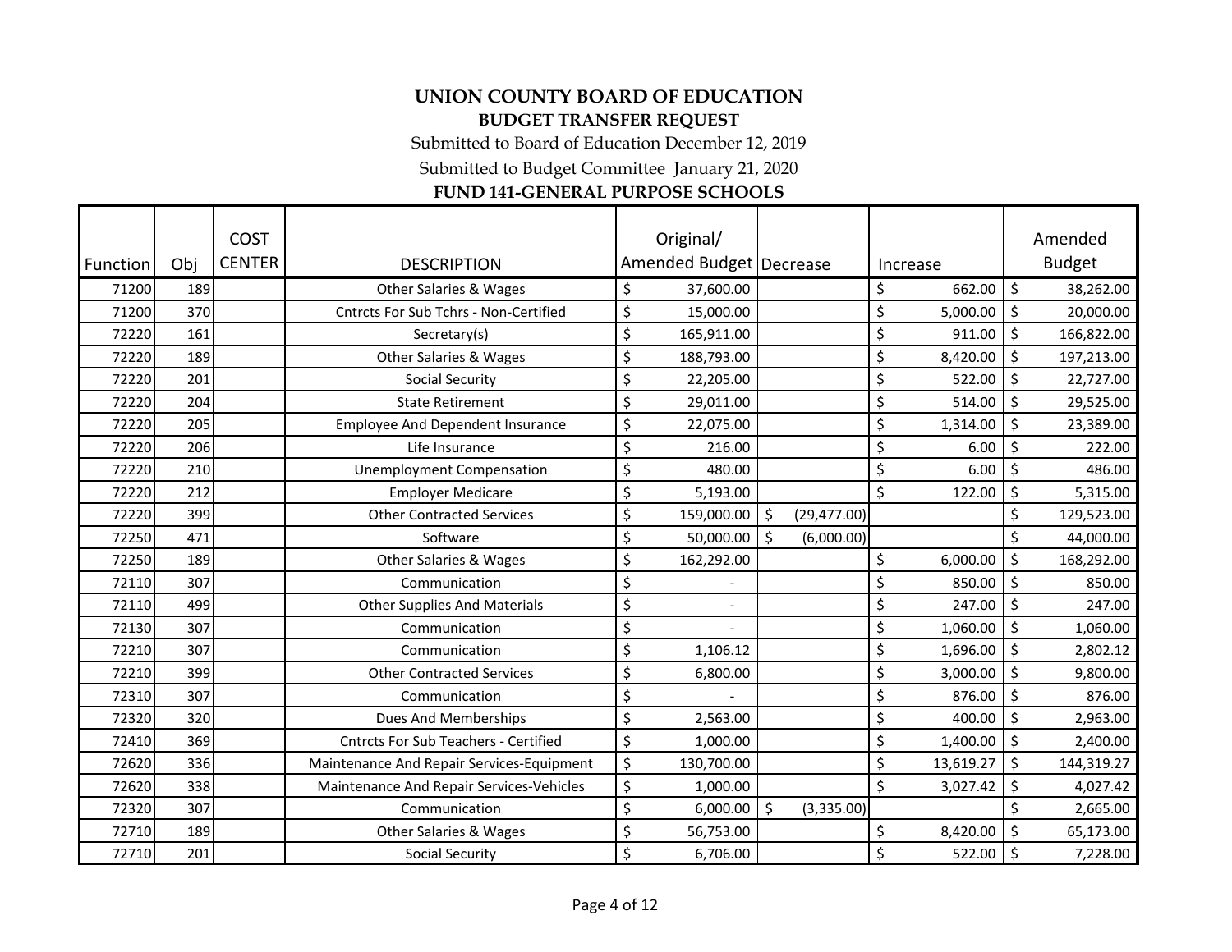Submitted to Board of Education December 12, 2019

Submitted to Budget Committee January 21, 2020

# **FUND 141-GENERAL PURPOSE SCHOOLS**

| Function | Obj | <b>COST</b><br><b>CENTER</b> | <b>DESCRIPTION</b>                          | Original/<br>Amended Budget   Decrease |                         |         | Increase  |    | Amended<br><b>Budget</b> |
|----------|-----|------------------------------|---------------------------------------------|----------------------------------------|-------------------------|---------|-----------|----|--------------------------|
| 71200    | 189 |                              | <b>Other Salaries &amp; Wages</b>           | \$<br>37,600.00                        |                         | \$      | 662.00    | \$ | 38,262.00                |
| 71200    | 370 |                              | Cntrcts For Sub Tchrs - Non-Certified       | \$<br>15,000.00                        |                         | \$      | 5,000.00  | \$ | 20,000.00                |
| 72220    | 161 |                              | Secretary(s)                                | \$<br>165,911.00                       |                         | \$      | 911.00    | \$ | 166,822.00               |
| 72220    | 189 |                              | <b>Other Salaries &amp; Wages</b>           | \$<br>188,793.00                       |                         | \$      | 8,420.00  | \$ | 197,213.00               |
| 72220    | 201 |                              | <b>Social Security</b>                      | \$<br>22,205.00                        |                         | \$      | 522.00    | \$ | 22,727.00                |
| 72220    | 204 |                              | <b>State Retirement</b>                     | \$<br>29,011.00                        |                         | \$      | 514.00    | \$ | 29,525.00                |
| 72220    | 205 |                              | <b>Employee And Dependent Insurance</b>     | \$<br>22,075.00                        |                         | \$      | 1,314.00  | \$ | 23,389.00                |
| 72220    | 206 |                              | Life Insurance                              | \$<br>216.00                           |                         | \$      | 6.00      | \$ | 222.00                   |
| 72220    | 210 |                              | <b>Unemployment Compensation</b>            | \$<br>480.00                           |                         | \$      | 6.00      | \$ | 486.00                   |
| 72220    | 212 |                              | <b>Employer Medicare</b>                    | \$<br>5,193.00                         |                         | $\zeta$ | 122.00    | \$ | 5,315.00                 |
| 72220    | 399 |                              | <b>Other Contracted Services</b>            | \$<br>159,000.00                       | $\zeta$<br>(29, 477.00) |         |           | Ś  | 129,523.00               |
| 72250    | 471 |                              | Software                                    | \$<br>50,000.00                        | ۱s<br>(6,000.00)        |         |           |    | 44,000.00                |
| 72250    | 189 |                              | <b>Other Salaries &amp; Wages</b>           | \$<br>162,292.00                       |                         | \$      | 6,000.00  | \$ | 168,292.00               |
| 72110    | 307 |                              | Communication                               | \$                                     |                         | \$      | 850.00    | \$ | 850.00                   |
| 72110    | 499 |                              | <b>Other Supplies And Materials</b>         | \$                                     |                         | \$      | 247.00    | \$ | 247.00                   |
| 72130    | 307 |                              | Communication                               | \$                                     |                         | \$      | 1,060.00  | \$ | 1,060.00                 |
| 72210    | 307 |                              | Communication                               | \$<br>1,106.12                         |                         | \$      | 1,696.00  | \$ | 2,802.12                 |
| 72210    | 399 |                              | <b>Other Contracted Services</b>            | \$<br>6,800.00                         |                         | \$      | 3,000.00  | \$ | 9,800.00                 |
| 72310    | 307 |                              | Communication                               | \$                                     |                         | \$      | 876.00    | \$ | 876.00                   |
| 72320    | 320 |                              | <b>Dues And Memberships</b>                 | \$<br>2,563.00                         |                         | \$      | 400.00    | \$ | 2,963.00                 |
| 72410    | 369 |                              | <b>Cntrcts For Sub Teachers - Certified</b> | \$<br>1,000.00                         |                         | \$      | 1,400.00  | \$ | 2,400.00                 |
| 72620    | 336 |                              | Maintenance And Repair Services-Equipment   | \$<br>130,700.00                       |                         | \$      | 13,619.27 | \$ | 144,319.27               |
| 72620    | 338 |                              | Maintenance And Repair Services-Vehicles    | \$<br>1,000.00                         |                         | $\zeta$ | 3,027.42  | \$ | 4,027.42                 |
| 72320    | 307 |                              | Communication                               | \$<br>6,000.00                         | \$<br>(3,335.00)        |         |           |    | 2,665.00                 |
| 72710    | 189 |                              | <b>Other Salaries &amp; Wages</b>           | \$<br>56,753.00                        |                         | \$      | 8,420.00  | \$ | 65,173.00                |
| 72710    | 201 |                              | <b>Social Security</b>                      | \$<br>6,706.00                         |                         | \$      | 522.00    | Ś  | 7,228.00                 |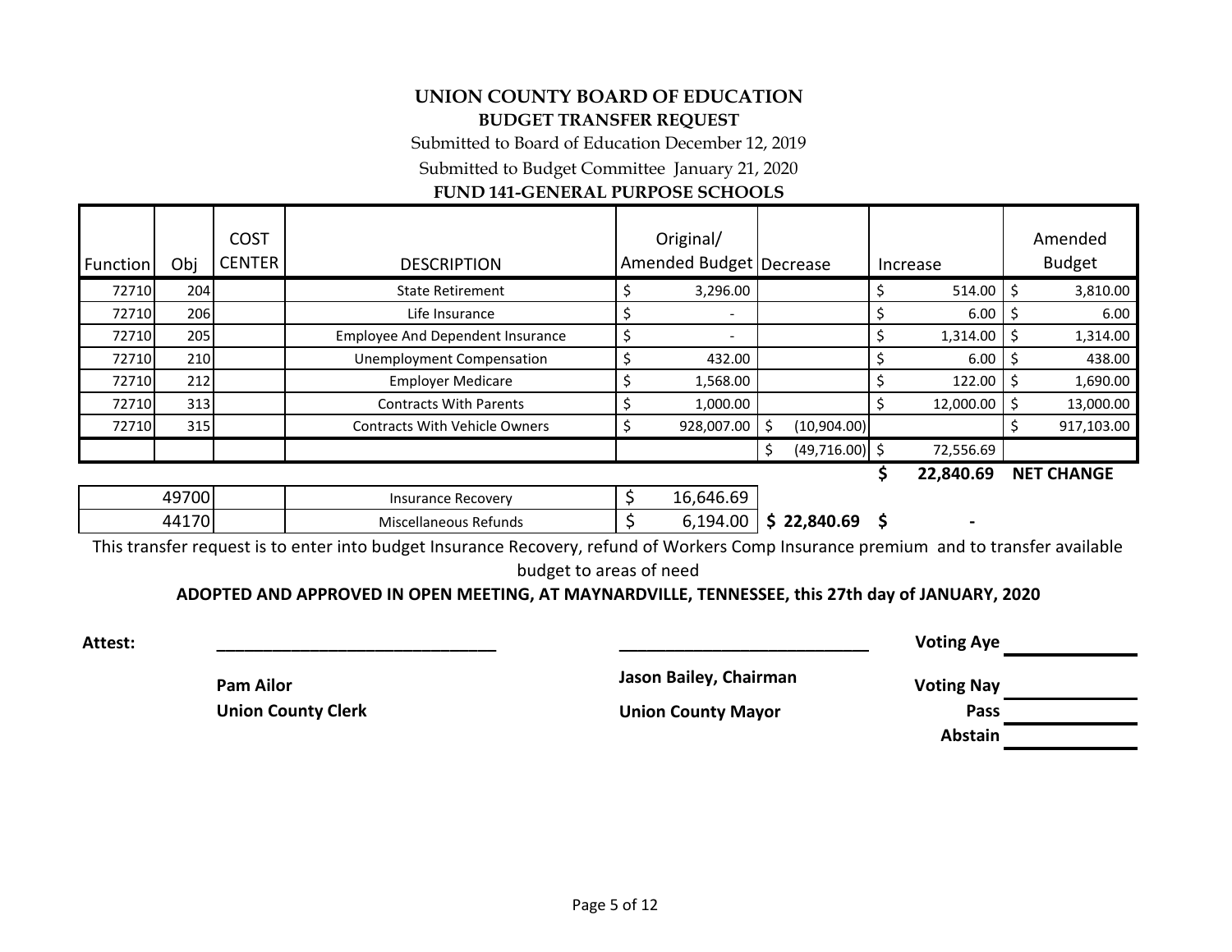Submitted to Board of Education December 12, 2019

Submitted to Budget Committee January 21, 2020

## **FUND 141-GENERAL PURPOSE SCHOOLS**

| <b>Function</b> | Obj | <b>COST</b><br><b>CENTER</b> | <b>DESCRIPTION</b>                      | Original/<br>Amended Budget   Decrease |                  | Increase  | Amended<br><b>Budget</b> |
|-----------------|-----|------------------------------|-----------------------------------------|----------------------------------------|------------------|-----------|--------------------------|
| 72710           | 204 |                              | <b>State Retirement</b>                 | 3,296.00                               |                  | 514.00    | 3,810.00                 |
| 72710           | 206 |                              | Life Insurance                          | $\overline{\phantom{0}}$               |                  | 6.00      | 6.00                     |
| 72710           | 205 |                              | <b>Employee And Dependent Insurance</b> | $\overline{\phantom{a}}$               |                  | 1,314.00  | 1,314.00                 |
| 72710           | 210 |                              | <b>Unemployment Compensation</b>        | 432.00                                 |                  | 6.00      | 438.00                   |
| 72710           | 212 |                              | <b>Employer Medicare</b>                | 1,568.00                               |                  | 122.00    | 1,690.00                 |
| 72710           | 313 |                              | <b>Contracts With Parents</b>           | 1,000.00                               |                  | 12,000.00 | 13,000.00                |
| 72710           | 315 |                              | <b>Contracts With Vehicle Owners</b>    | 928,007.00                             | (10,904.00)      |           | 917,103.00               |
|                 |     |                              |                                         |                                        | $(49,716.00)$ \$ | 72,556.69 |                          |

**\$ 22,840.69 NET CHANGE**

| +9700             | Insurance Recovery    | $\sim$<br>$\epsilon$<br>$\sim$<br>.646.69<br>lb, |           |  |
|-------------------|-----------------------|--------------------------------------------------|-----------|--|
| 4417 <sup>o</sup> | Miscellaneous Refunds | 6,194.00                                         | 22,840.69 |  |

This transfer request is to enter into budget Insurance Recovery, refund of Workers Comp Insurance premium and to transfer available

budget to areas of need

**ADOPTED AND APPROVED IN OPEN MEETING, AT MAYNARDVILLE, TENNESSEE, this 27th day of JANUARY, 2020**

| Attest: |                           |                           | <b>Voting Aye</b> |  |
|---------|---------------------------|---------------------------|-------------------|--|
|         | <b>Pam Ailor</b>          | Jason Bailey, Chairman    | <b>Voting Nay</b> |  |
|         | <b>Union County Clerk</b> | <b>Union County Mayor</b> | Pass              |  |
|         |                           |                           | <b>Abstain</b>    |  |
|         |                           |                           |                   |  |

Page 5 of 12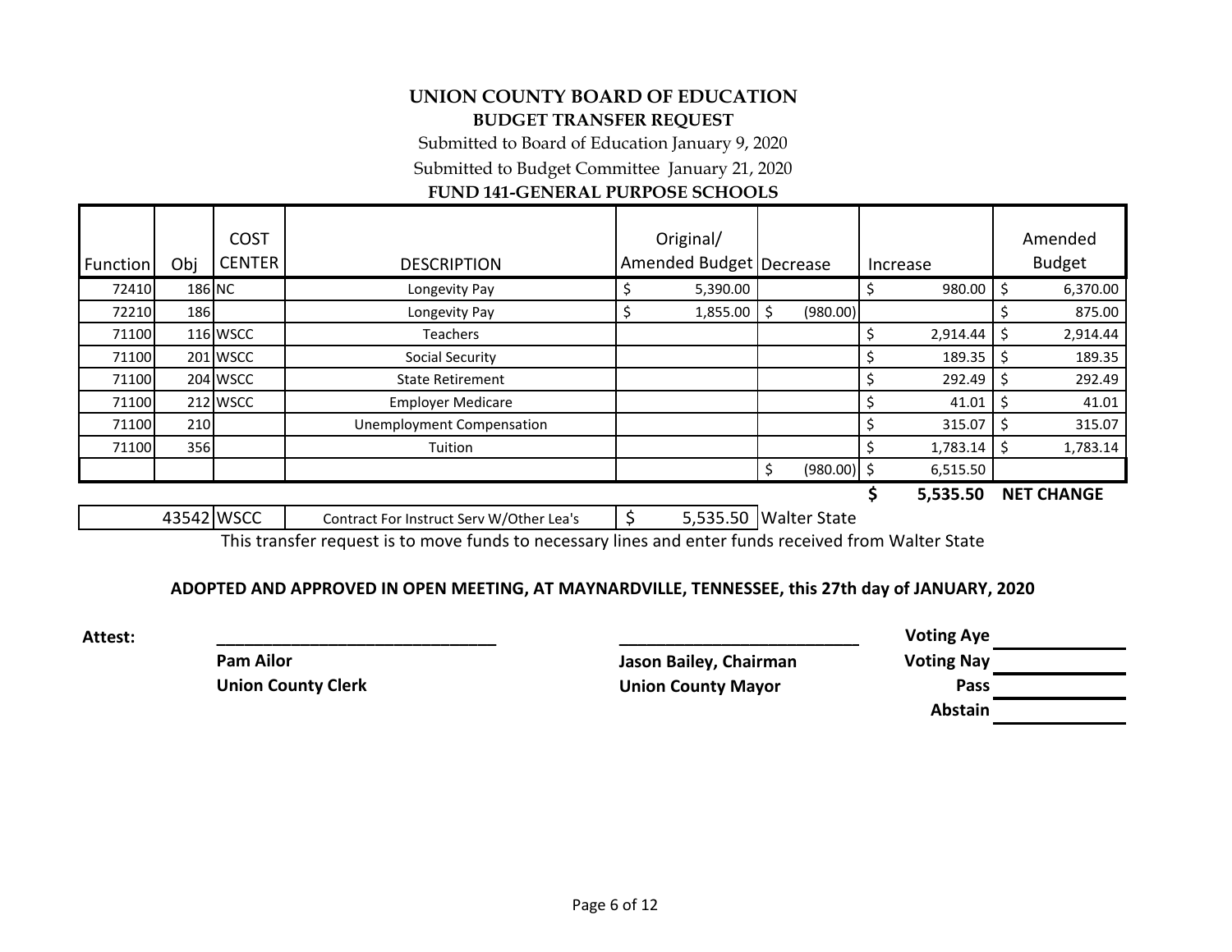Submitted to Board of Education January 9, 2020

Submitted to Budget Committee January 21, 2020

## **FUND 141-GENERAL PURPOSE SCHOOLS**

| <b>Function</b> | Obj         | <b>COST</b><br><b>CENTER</b> | <b>DESCRIPTION</b>        | Original/<br>Amended Budget   Decrease |   |               | Increase |          | Amended<br><b>Budget</b> |
|-----------------|-------------|------------------------------|---------------------------|----------------------------------------|---|---------------|----------|----------|--------------------------|
| 72410           | 186 NC      |                              | Longevity Pay             | 5,390.00                               |   |               |          | 980.00   | 6,370.00                 |
| 72210           | <b>1861</b> |                              | Longevity Pay             | 1,855.00                               | S | (980.00)      |          |          | 875.00                   |
| 71100           |             | <b>116 WSCC</b>              | Teachers                  |                                        |   |               |          | 2,914.44 | 2,914.44                 |
| 71100           |             | 201 WSCC                     | Social Security           |                                        |   |               |          | 189.35   | 189.35                   |
| 71100           |             | 204 WSCC                     | <b>State Retirement</b>   |                                        |   |               |          | 292.49   | 292.49                   |
| 71100           |             | 212 WSCC                     | <b>Employer Medicare</b>  |                                        |   |               |          | 41.01    | 41.01                    |
| 71100           | 210         |                              | Unemployment Compensation |                                        |   |               |          | 315.07   | 315.07                   |
| 71100           | 356         |                              | Tuition                   |                                        |   |               |          | 1,783.14 | 1,783.14                 |
|                 |             |                              |                           |                                        |   | $(980.00)$ \$ |          | 6,515.50 |                          |
|                 |             |                              |                           |                                        |   |               |          | E ESE EN | NET CUANCE               |

**\$ 5,535.50 NET CHANGE**

| 13542 WSCC | Contract For Instruct Serv W/Other Lea's |  | 5,535.50 Walter State |
|------------|------------------------------------------|--|-----------------------|
|            |                                          |  |                       |

This transfer request is to move funds to necessary lines and enter funds received from Walter State

### **ADOPTED AND APPROVED IN OPEN MEETING, AT MAYNARDVILLE, TENNESSEE, this 27th day of JANUARY, 2020**

| <b>Attest:</b> |                           |                           | <b>Voting Aye</b> |  |
|----------------|---------------------------|---------------------------|-------------------|--|
|                | <b>Pam Ailor</b>          | Jason Bailey, Chairman    | <b>Voting Nay</b> |  |
|                | <b>Union County Clerk</b> | <b>Union County Mayor</b> | Pass              |  |
|                |                           |                           | <b>Abstain</b>    |  |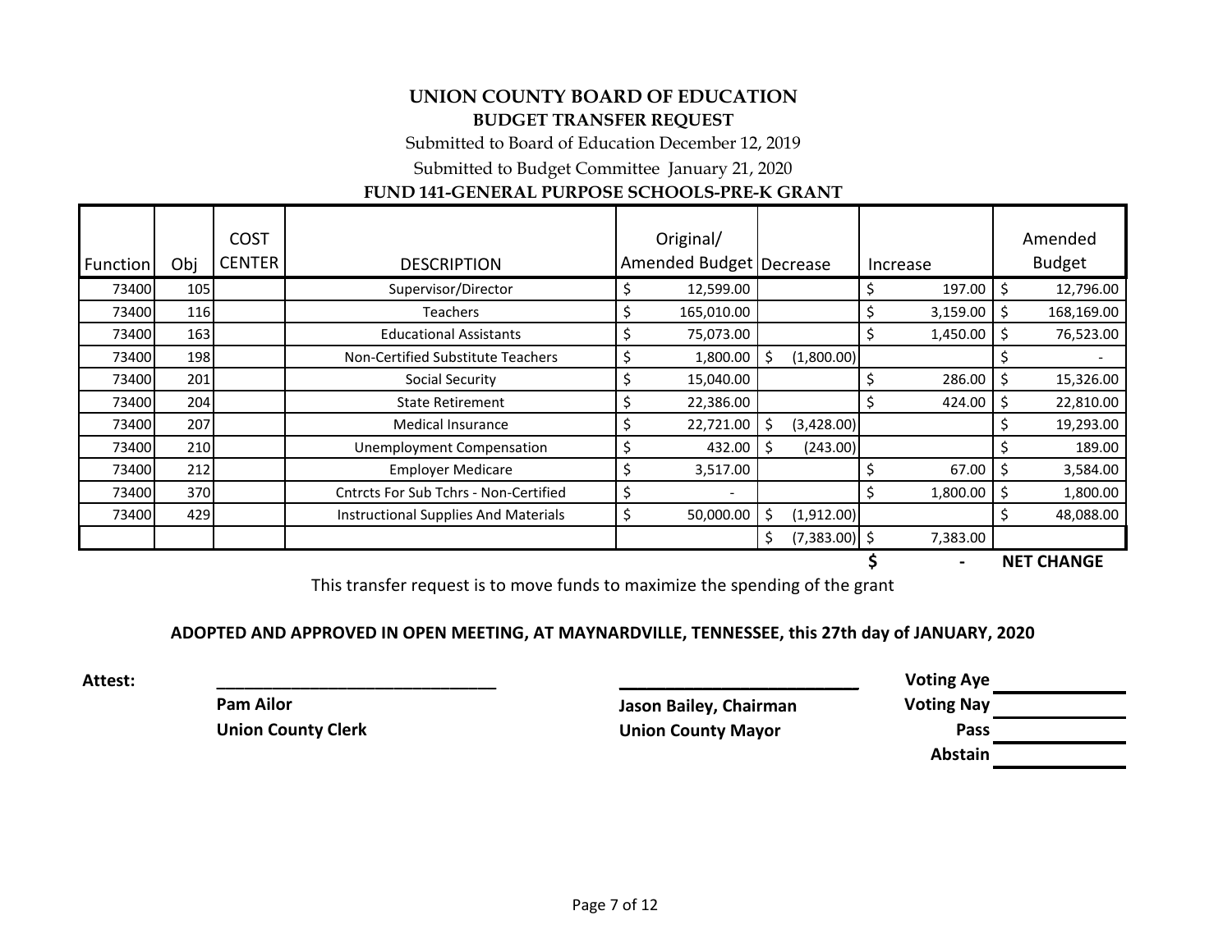Submitted to Board of Education December 12, 2019

Submitted to Budget Committee January 21, 2020

## **FUND 141-GENERAL PURPOSE SCHOOLS-PRE-K GRANT**

|          |             | <b>COST</b>                   |                                       | Original/                 |    |                 |    |          |    | Amended           |
|----------|-------------|-------------------------------|---------------------------------------|---------------------------|----|-----------------|----|----------|----|-------------------|
| Function | Obj         | <b>CENTER</b>                 | <b>DESCRIPTION</b>                    | Amended Budget   Decrease |    |                 |    | Increase |    | <b>Budget</b>     |
| 73400    | 105         |                               | Supervisor/Director                   | 12,599.00                 |    |                 | \$ | 197.00   | Ś  | 12,796.00         |
| 73400    | 116         |                               | <b>Teachers</b>                       | 165,010.00                |    |                 | \$ | 3,159.00 | Ś  | 168,169.00        |
| 73400    | 163         | <b>Educational Assistants</b> |                                       | 75,073.00                 |    |                 | \$ | 1,450.00 | \$ | 76,523.00         |
| 73400    | <b>1981</b> |                               | Non-Certified Substitute Teachers     | 1,800.00                  | Ś. | (1,800.00)      |    |          |    |                   |
| 73400    | 201         |                               | Social Security                       | 15,040.00                 |    |                 | Ş  | 286.00   | S. | 15,326.00         |
| 73400    | 204         |                               | <b>State Retirement</b>               | 22,386.00                 |    |                 |    | 424.00   | \$ | 22,810.00         |
| 73400    | 207         |                               | <b>Medical Insurance</b>              | 22,721.00                 | Ś. | (3,428.00)      |    |          | Ś  | 19,293.00         |
| 73400    | 210         |                               | <b>Unemployment Compensation</b>      | 432.00                    | \$ | (243.00)        |    |          |    | 189.00            |
| 73400    | 212         |                               | <b>Employer Medicare</b>              | 3,517.00                  |    |                 | \$ | 67.00    | S. | 3,584.00          |
| 73400    | 370         |                               | Cntrcts For Sub Tchrs - Non-Certified |                           |    |                 | \$ | 1,800.00 | \$ | 1,800.00          |
| 73400    | 429         |                               | Instructional Supplies And Materials  | 50,000.00                 | \$ | (1,912.00)      |    |          | S. | 48,088.00         |
|          |             |                               |                                       |                           | \$ | $(7,383.00)$ \$ |    | 7,383.00 |    |                   |
|          |             |                               |                                       |                           |    |                 |    |          |    | <b>NET CHANGE</b> |

This transfer request is to move funds to maximize the spending of the grant

## **ADOPTED AND APPROVED IN OPEN MEETING, AT MAYNARDVILLE, TENNESSEE, this 27th day of JANUARY, 2020**

**Attest: \_\_\_\_\_\_\_\_\_\_\_\_\_\_\_\_\_\_\_\_\_\_\_\_\_\_\_\_\_\_ \_\_\_\_\_\_\_\_\_\_\_\_\_\_\_\_\_\_\_\_\_\_\_\_\_\_\_\_\_\_ Voting Aye Pam Ailor Jason Bailey, Chairman Voting Nay Union County Clerk Union County Mayor Pass**

**Abstain**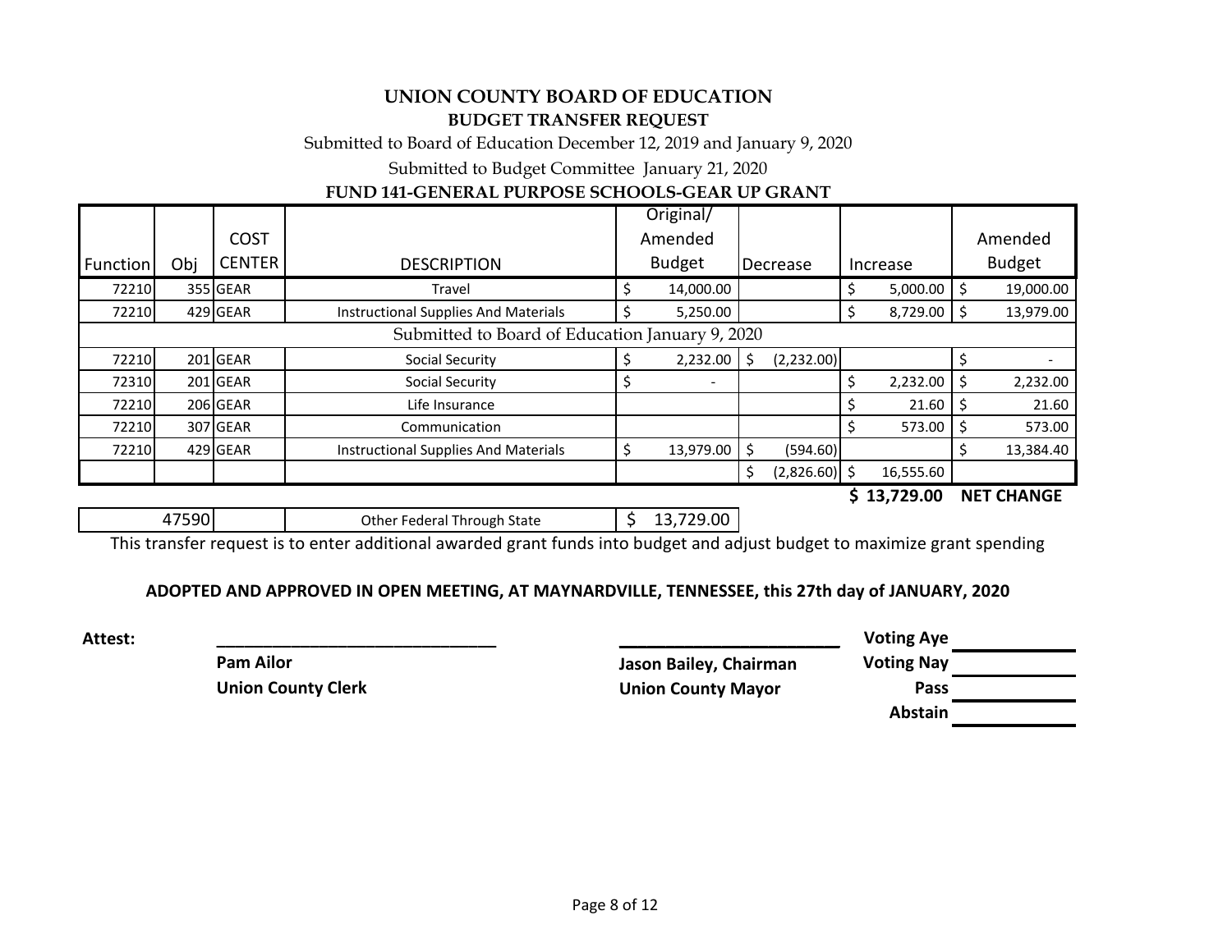Submitted to Board of Education December 12, 2019 and January 9, 2020

Submitted to Budget Committee January 21, 2020

## **FUND 141-GENERAL PURPOSE SCHOOLS-GEAR UP GRANT**

|                                                 |     |               |                                      | Original/ |               |    |                      |  |                 |              |           |
|-------------------------------------------------|-----|---------------|--------------------------------------|-----------|---------------|----|----------------------|--|-----------------|--------------|-----------|
|                                                 |     | <b>COST</b>   |                                      |           | Amended       |    |                      |  |                 | Amended      |           |
| Function                                        | Obj | <b>CENTER</b> | <b>DESCRIPTION</b>                   |           | <b>Budget</b> |    | Decrease<br>Increase |  | <b>Budget</b>   |              |           |
| 72210                                           |     | 355 GEAR      | Travel                               |           | 14,000.00     |    |                      |  | $5,000.00$   \$ |              | 19,000.00 |
| 72210                                           |     | 429 GEAR      | Instructional Supplies And Materials |           | 5,250.00      |    |                      |  | 8,729.00        |              | 13,979.00 |
| Submitted to Board of Education January 9, 2020 |     |               |                                      |           |               |    |                      |  |                 |              |           |
| 72210                                           |     | $201$ GEAR    | Social Security                      |           | 2,232.00      |    | (2,232.00)           |  |                 |              |           |
| 72310                                           |     | 201 GEAR      | <b>Social Security</b>               |           |               |    |                      |  | 2,232.00        | <sub>S</sub> | 2,232.00  |
| 72210                                           |     | 206 GEAR      | Life Insurance                       |           |               |    |                      |  | 21.60           |              | 21.60     |
| 72210                                           |     | 307 GEAR      | Communication                        |           |               |    |                      |  | 573.00          |              | 573.00    |
| 72210                                           |     | 429 GEAR      | Instructional Supplies And Materials |           | 13,979.00     |    | (594.60)             |  |                 |              | 13,384.40 |
|                                                 |     |               |                                      |           |               | \$ | $(2,826.60)$ \$      |  | 16,555.60       |              |           |
|                                                 |     |               |                                      |           |               |    |                      |  | . <b></b>       |              |           |

**\$ 13,729.00 NET CHANGE**

| .00<br>Other Federal Through State |
|------------------------------------|
|------------------------------------|

This transfer request is to enter additional awarded grant funds into budget and adjust budget to maximize grant spending

### **ADOPTED AND APPROVED IN OPEN MEETING, AT MAYNARDVILLE, TENNESSEE, this 27th day of JANUARY, 2020**

| Attest: |                           | <b>Voting Aye</b>         |                   |
|---------|---------------------------|---------------------------|-------------------|
|         | <b>Pam Ailor</b>          | Jason Bailey, Chairman    | <b>Voting Nay</b> |
|         | <b>Union County Clerk</b> | <b>Union County Mayor</b> | Pass              |
|         |                           |                           | .                 |

| oting Aye   |  |
|-------------|--|
| oting Nay   |  |
| <b>Pass</b> |  |
| Abstain     |  |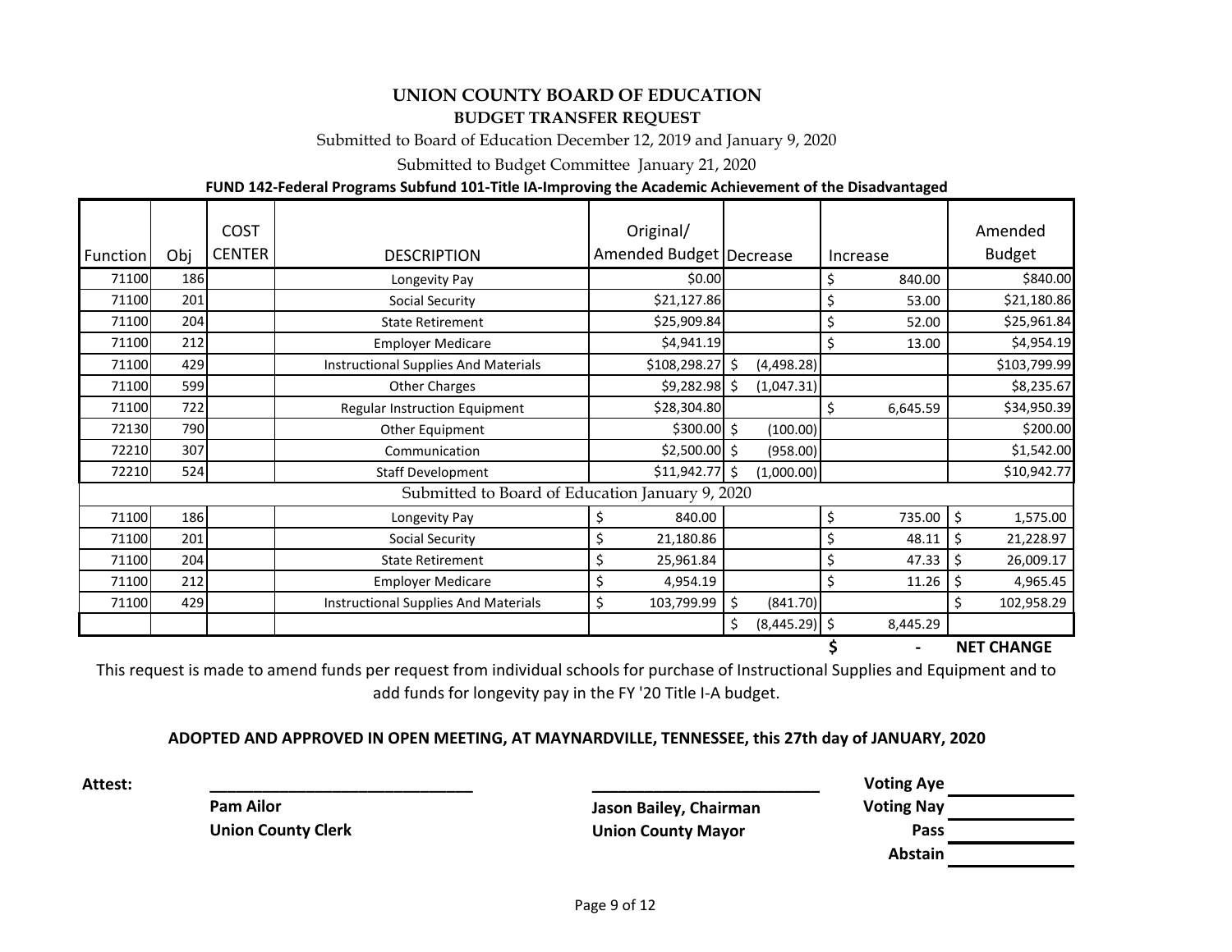Submitted to Board of Education December 12, 2019 and January 9, 2020

Submitted to Budget Committee January 21, 2020

#### **FUND 142-Federal Programs Subfund 101-Title IA-Improving the Academic Achievement of the Disadvantaged**

| Function | Obj | <b>COST</b><br><b>CENTER</b> | <b>DESCRIPTION</b>                              | Original/<br>Amended Budget   Decrease |                       | Increase      | Amended<br><b>Budget</b>        |
|----------|-----|------------------------------|-------------------------------------------------|----------------------------------------|-----------------------|---------------|---------------------------------|
| 71100    | 186 |                              | Longevity Pay                                   | \$0.00                                 |                       | \$<br>840.00  | \$840.00                        |
| 71100    | 201 |                              | <b>Social Security</b>                          | \$21,127.86                            |                       | \$<br>53.00   | \$21,180.86                     |
| 71100    | 204 |                              | <b>State Retirement</b>                         | \$25,909.84                            |                       | \$<br>52.00   | \$25,961.84                     |
| 71100    | 212 |                              | <b>Employer Medicare</b>                        | \$4,941.19                             |                       | \$<br>13.00   | \$4,954.19                      |
| 71100    | 429 |                              | <b>Instructional Supplies And Materials</b>     | \$108,298.27                           | Ś.<br>(4,498.28)      |               | \$103,799.99                    |
| 71100    | 599 |                              | <b>Other Charges</b>                            | \$9,282.98                             | (1,047.31)<br>Ŝ.      |               | \$8,235.67                      |
| 71100    | 722 |                              | Regular Instruction Equipment                   | \$28,304.80                            |                       | Ś<br>6,645.59 | \$34,950.39                     |
| 72130    | 790 |                              | Other Equipment                                 | $$300.00$ \$                           | (100.00)              |               | \$200.00                        |
| 72210    | 307 |                              | Communication                                   | $$2,500.00$ \$                         | (958.00)              |               | \$1,542.00                      |
| 72210    | 524 |                              | <b>Staff Development</b>                        | \$11,942.77                            | Ŝ.<br>(1,000.00)      |               | \$10,942.77                     |
|          |     |                              | Submitted to Board of Education January 9, 2020 |                                        |                       |               |                                 |
| 71100    | 186 |                              | Longevity Pay                                   | 840.00<br>\$                           |                       | \$<br>735.00  | $\ddot{\mathsf{S}}$<br>1,575.00 |
| 71100    | 201 |                              | <b>Social Security</b>                          | 21,180.86                              |                       | \$<br>48.11   | 21,228.97<br>\$                 |
| 71100    | 204 |                              | <b>State Retirement</b>                         | 25,961.84                              |                       | \$<br>47.33   | 26,009.17                       |
| 71100    | 212 |                              | <b>Employer Medicare</b>                        | 4,954.19                               |                       | \$<br>11.26   | 4,965.45<br>\$                  |
| 71100    | 429 |                              | <b>Instructional Supplies And Materials</b>     | Ś<br>103,799.99                        | \$<br>(841.70)        |               | Ś.<br>102,958.29                |
|          |     |                              |                                                 |                                        | Ś.<br>$(8,445.29)$ \$ | 8,445.29      |                                 |

**\$ - NET CHANGE**

This request is made to amend funds per request from individual schools for purchase of Instructional Supplies and Equipment and to add funds for longevity pay in the FY '20 Title I-A budget.

#### **ADOPTED AND APPROVED IN OPEN MEETING, AT MAYNARDVILLE, TENNESSEE, this 27th day of JANUARY, 2020**

**Attest: \_\_\_\_\_\_\_\_\_\_\_\_\_\_\_\_\_\_\_\_\_\_\_\_\_\_\_\_\_\_ \_\_\_\_\_\_\_\_\_\_\_\_\_\_\_\_\_\_\_\_\_\_\_\_\_\_\_\_\_\_ Voting Aye Pam Ailor Constant Constructed Late Constructed Air May Dennisy Adventured Air May Dennisy Air May Dennisy Air May Dennisy Air May Dennisy Air May Dennisy Air May Dennisy Air May Dennisy Air May Dennisy Air May Dennisy Union County Clerk Union County Mayor Pass Abstain**

Page 9 of 12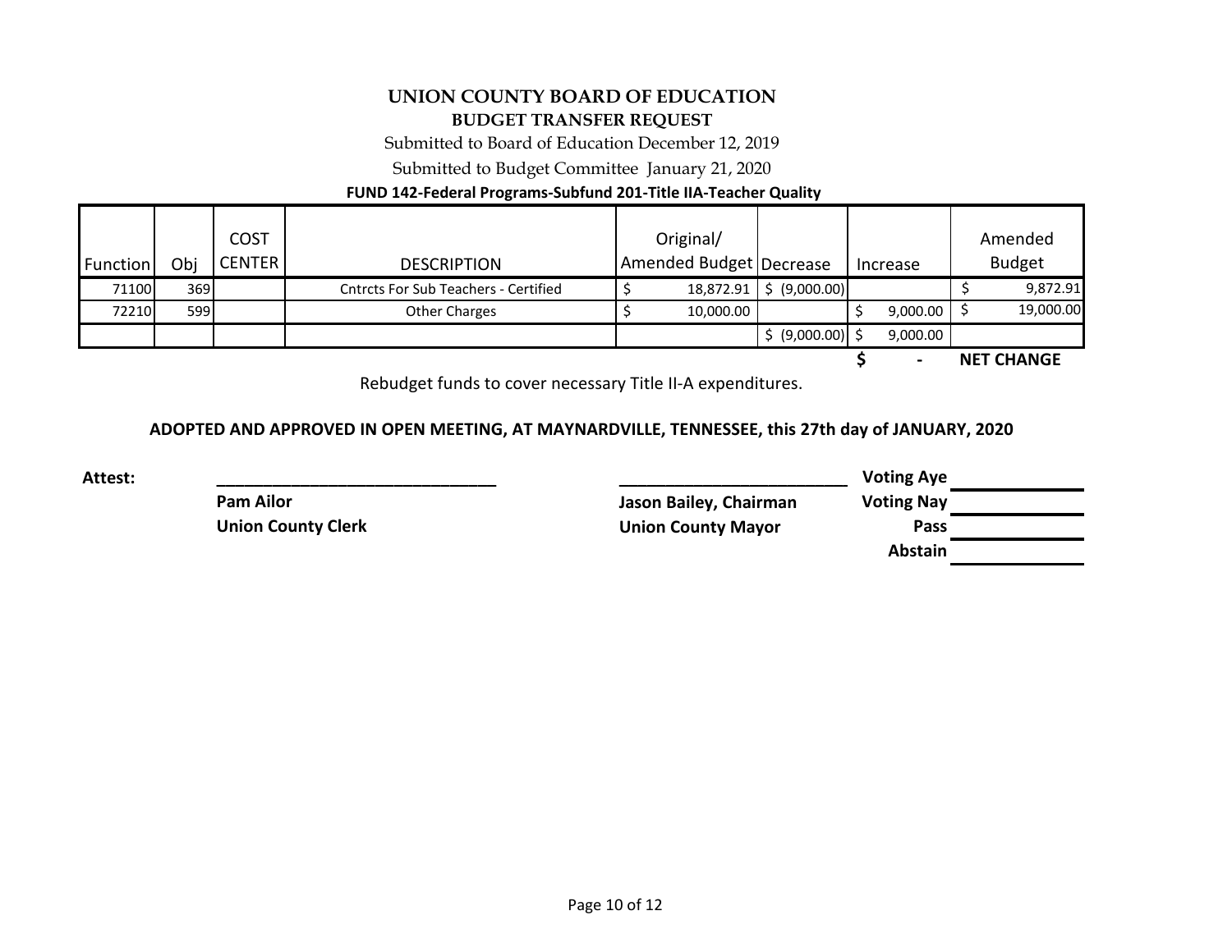Submitted to Board of Education December 12, 2019

Submitted to Budget Committee January 21, 2020

### **FUND 142-Federal Programs-Subfund 201-Title IIA-Teacher Quality**

| Function | Obi  | <b>COST</b><br><b>CENTER</b> | <b>DESCRIPTION</b>                          | Original/<br><b>Amended Budget Decrease</b> |                             | Increase      |  | Amended<br><b>Budget</b> |
|----------|------|------------------------------|---------------------------------------------|---------------------------------------------|-----------------------------|---------------|--|--------------------------|
| 71100    | 369I |                              | <b>Cntrcts For Sub Teachers - Certified</b> | 18,872.91                                   | $\frac{1}{2}$ (9,000.00)    |               |  | 9,872.91                 |
| 72210    | 599I |                              | Other Charges                               | 10,000.00                                   |                             | $9,000.00$ \$ |  | 19,000.00                |
|          |      |                              |                                             |                                             | $\frac{1}{2}$ (9,000.00) \$ | 9,000.00      |  |                          |

**\$ - NET CHANGE**

Rebudget funds to cover necessary Title II-A expenditures.

#### **ADOPTED AND APPROVED IN OPEN MEETING, AT MAYNARDVILLE, TENNESSEE, this 27th day of JANUARY, 2020**

**Attest: \_\_\_\_\_\_\_\_\_\_\_\_\_\_\_\_\_\_\_\_\_\_\_\_\_\_\_\_\_\_ \_\_\_\_\_\_\_\_\_\_\_\_\_\_\_\_\_\_\_\_\_\_\_\_\_\_\_\_\_\_ Voting Aye Pam Ailor Jason Bailey, Chairman Voting Nay Union County Clerk Union County Mayor Pass Abstain**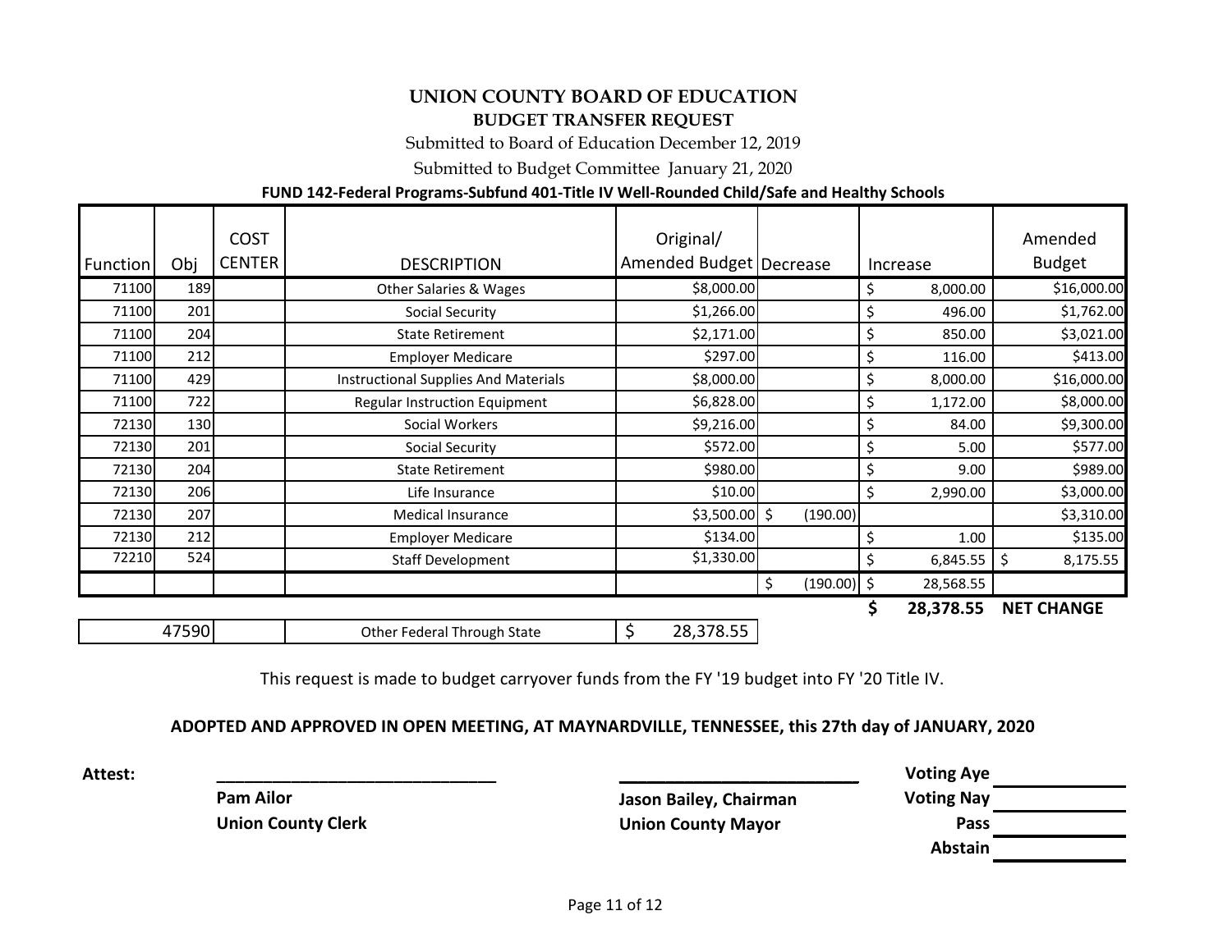Submitted to Board of Education December 12, 2019

Submitted to Budget Committee January 21, 2020

### **FUND 142-Federal Programs-Subfund 401-Title IV Well-Rounded Child/Safe and Healthy Schools**

| Function | Obj   | <b>COST</b><br><b>CENTER</b> | <b>DESCRIPTION</b>                   | Original/<br>Amended Budget   Decrease |                     | Increase |           | Amended<br><b>Budget</b> |
|----------|-------|------------------------------|--------------------------------------|----------------------------------------|---------------------|----------|-----------|--------------------------|
| 71100    | 189   |                              | <b>Other Salaries &amp; Wages</b>    | \$8,000.00                             |                     | \$       | 8,000.00  | \$16,000.00              |
| 71100    | 201   |                              | <b>Social Security</b>               | \$1,266.00                             |                     | \$       | 496.00    | \$1,762.00               |
| 71100    | 204   |                              | <b>State Retirement</b>              | \$2,171.00                             |                     | \$       | 850.00    | \$3,021.00               |
| 71100    | 212   |                              | <b>Employer Medicare</b>             | \$297.00                               |                     | \$       | 116.00    | \$413.00                 |
| 71100    | 429   |                              | Instructional Supplies And Materials | \$8,000.00                             |                     | \$       | 8,000.00  | \$16,000.00              |
| 71100    | 722   |                              | <b>Regular Instruction Equipment</b> | \$6,828.00                             |                     | \$       | 1,172.00  | \$8,000.00               |
| 72130    | 130   |                              | Social Workers                       | \$9,216.00                             |                     | \$       | 84.00     | \$9,300.00               |
| 72130    | 201   |                              | Social Security                      | \$572.00                               |                     | \$       | 5.00      | \$577.00                 |
| 72130    | 204   |                              | <b>State Retirement</b>              | \$980.00                               |                     | \$       | 9.00      | \$989.00                 |
| 72130    | 206   |                              | Life Insurance                       | \$10.00                                |                     | \$       | 2,990.00  | \$3,000.00               |
| 72130    | 207   |                              | <b>Medical Insurance</b>             | $$3,500.00$ \$                         | (190.00)            |          |           | \$3,310.00               |
| 72130    | 212   |                              | <b>Employer Medicare</b>             | \$134.00                               |                     | \$       | 1.00      | \$135.00                 |
| 72210    | 524   |                              | <b>Staff Development</b>             | \$1,330.00                             |                     | \$       | 6,845.55  | \$<br>8,175.55           |
|          |       |                              |                                      |                                        | \$<br>$(190.00)$ \$ |          | 28,568.55 |                          |
|          |       |                              |                                      |                                        |                     | \$       | 28,378.55 | <b>NET CHANGE</b>        |
|          | 47590 |                              | Other Federal Through State          | 28,378.55                              |                     |          |           |                          |

This request is made to budget carryover funds from the FY '19 budget into FY '20 Title IV.

#### **ADOPTED AND APPROVED IN OPEN MEETING, AT MAYNARDVILLE, TENNESSEE, this 27th day of JANUARY, 2020**

| <b>Attest:</b> |                           |                           | <b>Voting Aye</b> |  |
|----------------|---------------------------|---------------------------|-------------------|--|
|                | <b>Pam Ailor</b>          | Jason Bailey, Chairman    | <b>Voting Nay</b> |  |
|                | <b>Union County Clerk</b> | <b>Union County Mayor</b> | Pass              |  |
|                |                           |                           | Abstain           |  |